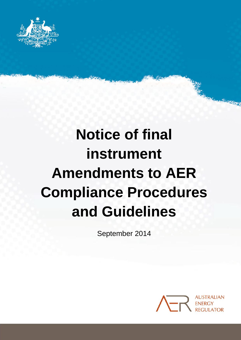

# **Notice of final instrument Amendments to AER Compliance Procedures and Guidelines**

September 2014



**Readership**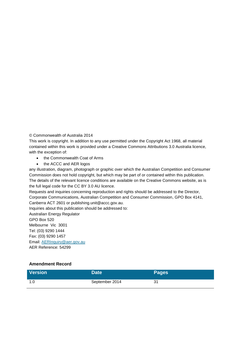© Commonwealth of Australia 2014

This work is copyright. In addition to any use permitted under the Copyright Act 1968, all material contained within this work is provided under a Creative Commons Attributions 3.0 Australia licence, with the exception of:

- the Commonwealth Coat of Arms
- the ACCC and AER logos

any illustration, diagram, photograph or graphic over which the Australian Competition and Consumer Commission does not hold copyright, but which may be part of or contained within this publication. The details of the relevant licence conditions are available on the Creative Commons website, as is the full legal code for the CC BY 3.0 AU licence.

Requests and inquiries concerning reproduction and rights should be addressed to the Director, Corporate Communications, Australian Competition and Consumer Commission, GPO Box 4141, Canberra ACT 2601 or publishing.unit@accc.gov.au.

Inquiries about this publication should be addressed to:

Australian Energy Regulator GPO Box 520 Melbourne Vic 3001 Tel: (03) 9290 1444 Fax: (03) 9290 1457 Email: [AERInquiry@aer.gov.au](mailto:AERInquiry@aer.gov.au) AER Reference: 54299

#### **Amendment Record**

| <b>Version</b> | Date <sup>1</sup> | <b>Pages</b> |
|----------------|-------------------|--------------|
| 1.U            | September 2014    | 31           |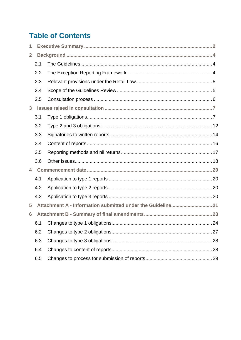# **Table of Contents**

| 1              |     |  |  |
|----------------|-----|--|--|
| $\overline{2}$ |     |  |  |
|                | 2.1 |  |  |
|                | 2.2 |  |  |
|                | 2.3 |  |  |
|                | 2.4 |  |  |
|                | 2.5 |  |  |
| 3              |     |  |  |
|                | 3.1 |  |  |
|                | 3.2 |  |  |
|                | 3.3 |  |  |
|                | 3.4 |  |  |
|                | 3.5 |  |  |
|                | 3.6 |  |  |
| 4              |     |  |  |
|                | 4.1 |  |  |
|                | 4.2 |  |  |
|                | 4.3 |  |  |
| 5              |     |  |  |
| 6              |     |  |  |
|                |     |  |  |
|                | 6.2 |  |  |
|                | 6.3 |  |  |
|                | 6.4 |  |  |
|                | 6.5 |  |  |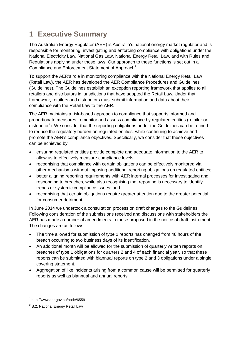# <span id="page-3-0"></span>**1 Executive Summary**

The Australian Energy Regulator (AER) is Australia's national energy market regulator and is responsible for monitoring, investigating and enforcing compliance with obligations under the National Electricity Law, National Gas Law, National Energy Retail Law, and with Rules and Regulations applying under those laws. Our approach to these functions is set out in a Compliance and Enforcement Statement of Approach<sup>1</sup>.

To support the AER's role in monitoring compliance with the National Energy Retail Law (Retail Law), the AER has developed the AER Compliance Procedures and Guidelines (Guidelines). The Guidelines establish an exception reporting framework that applies to all retailers and distributors in jurisdictions that have adopted the Retail Law. Under that framework, retailers and distributors must submit information and data about their compliance with the Retail Law to the AER.

The AER maintains a risk-based approach to compliance that supports informed and proportionate measures to monitor and assess compliance by regulated entities (retailer or distributor<sup>2</sup>). We consider that the reporting obligations under the Guidelines can be refined to reduce the regulatory burden on regulated entities, while continuing to achieve and promote the AER's compliance objectives. Specifically, we consider that these objectives can be achieved by:

- ensuring regulated entities provide complete and adequate information to the AER to allow us to effectively measure compliance levels;
- recognising that compliance with certain obligations can be effectively monitored via other mechanisms without imposing additional reporting obligations on regulated entities;
- better aligning reporting requirements with AER internal processes for investigating and responding to breaches, while also recognising that reporting is necessary to identify trends or systemic compliance issues; and
- recognising that certain obligations require greater attention due to the greater potential for consumer detriment.

In June 2014 we undertook a consultation process on draft changes to the Guidelines. Following consideration of the submissions received and discussions with stakeholders the AER has made a number of amendments to those proposed in the notice of draft instrument. The changes are as follows:

- The time allowed for submission of type 1 reports has changed from 48 hours of the breach occurring to two business days of its identification.
- An additional month will be allowed for the submission of quarterly written reports on breaches of type 1 obligations for quarters 2 and 4 of each financial year, so that these reports can be submitted with biannual reports on type 2 and 3 obligations under a single covering statement.
- Aggregation of like incidents arising from a common cause will be permitted for quarterly reports as well as biannual and annual reports.

-

<sup>1</sup> http://www.aer.gov.au/node/6559

 $2$  S.2, National Energy Retail Law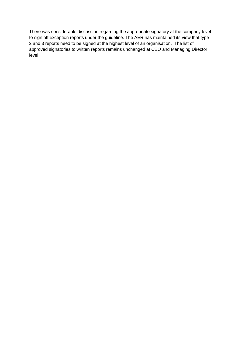There was considerable discussion regarding the appropriate signatory at the company level to sign off exception reports under the guideline. The AER has maintained its view that type 2 and 3 reports need to be signed at the highest level of an organisation. The list of approved signatories to written reports remains unchanged at CEO and Managing Director level.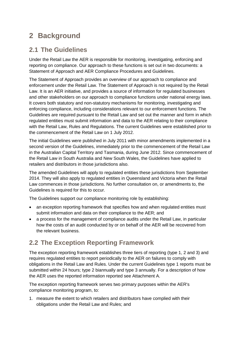# <span id="page-5-0"></span>**2 Background**

# <span id="page-5-1"></span>**2.1 The Guidelines**

Under the Retail Law the AER is responsible for monitoring, investigating, enforcing and reporting on compliance. Our approach to these functions is set out in two documents: a Statement of Approach and AER Compliance Procedures and Guidelines.

The Statement of Approach provides an overview of our approach to compliance and enforcement under the Retail Law. The Statement of Approach is not required by the Retail Law. It is an AER initiative, and provides a source of information for regulated businesses and other stakeholders on our approach to compliance functions under national energy laws. It covers both statutory and non-statutory mechanisms for monitoring, investigating and enforcing compliance, including considerations relevant to our enforcement functions. The Guidelines are required pursuant to the Retail Law and set out the manner and form in which regulated entities must submit information and data to the AER relating to their compliance with the Retail Law, Rules and Regulations. The current Guidelines were established prior to the commencement of the Retail Law on 1 July 2012.

The initial Guidelines were published in July 2011 with minor amendments implemented in a second version of the Guidelines, immediately prior to the commencement of the Retail Law in the Australian Capital Territory and Tasmania, during June 2012. Since commencement of the Retail Law in South Australia and New South Wales, the Guidelines have applied to retailers and distributors in those jurisdictions also.

The amended Guidelines will apply to regulated entities these jurisdictions from September 2014. They will also apply to regulated entities in Queensland and Victoria when the Retail Law commences in those jurisdictions. No further consultation on, or amendments to, the Guidelines is required for this to occur.

The Guidelines support our compliance monitoring role by establishing:

- an exception reporting framework that specifies how and when regulated entities must submit information and data on their compliance to the AER; and
- a process for the management of compliance audits under the Retail Law, in particular how the costs of an audit conducted by or on behalf of the AER will be recovered from the relevant business.

# <span id="page-5-2"></span>**2.2 The Exception Reporting Framework**

The exception reporting framework establishes three tiers of reporting (type 1, 2 and 3) and requires regulated entities to report periodically to the AER on failures to comply with obligations in the Retail Law and Rules. Under the current Guidelines type 1 reports must be submitted within 24 hours; type 2 biannually and type 3 annually. For a description of how the AER uses the reported information reported see Attachment A.

The exception reporting framework serves two primary purposes within the AER's compliance monitoring program, to:

1. measure the extent to which retailers and distributors have complied with their obligations under the Retail Law and Rules; and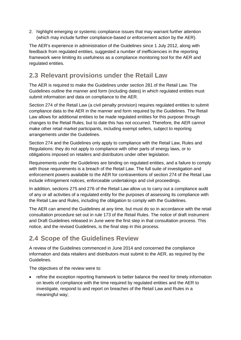2. highlight emerging or systemic compliance issues that may warrant further attention (which may include further compliance-based or enforcement action by the AER).

The AER's experience in administration of the Guidelines since 1 July 2012, along with feedback from regulated entities, suggested a number of inefficiencies in the reporting framework were limiting its usefulness as a compliance monitoring tool for the AER and regulated entities.

# <span id="page-6-0"></span>**2.3 Relevant provisions under the Retail Law**

The AER is required to make the Guidelines under section 281 of the Retail Law. The Guidelines outline the manner and form (including dates) in which regulated entities must submit information and data on compliance to the AER.

Section 274 of the Retail Law (a civil penalty provision) requires regulated entities to submit compliance data to the AER in the manner and form required by the Guidelines. The Retail Law allows for additional entities to be made regulated entities for this purpose through changes to the Retail Rules, but to date this has not occurred. Therefore, the AER cannot make other retail market participants, including exempt sellers, subject to reporting arrangements under the Guidelines.

Section 274 and the Guidelines only apply to compliance with the Retail Law, Rules and Regulations: they do not apply to compliance with other parts of energy laws, or to obligations imposed on retailers and distributors under other legislation.

Requirements under the Guidelines are binding on regulated entities, and a failure to comply with those requirements is a breach of the Retail Law. The full suite of investigation and enforcement powers available to the AER for contraventions of section 274 of the Retail Law include infringement notices, enforceable undertakings and civil proceedings.

In addition, sections 275 and 276 of the Retail Law allow us to carry out a compliance audit of any or all activities of a regulated entity for the purposes of assessing its compliance with the Retail Law and Rules, including the obligation to comply with the Guidelines.

The AER can amend the Guidelines at any time, but must do so in accordance with the retail consultation procedure set out in rule 173 of the Retail Rules. The notice of draft instrument and Draft Guidelines released in June were the first step in that consultation process. This notice, and the revised Guidelines, is the final step in this process.

# <span id="page-6-1"></span>**2.4 Scope of the Guidelines Review**

A review of the Guidelines commenced in June 2014 and concerned the compliance information and data retailers and distributors must submit to the AER, as required by the Guidelines.

The objectives of the review were to:

 refine the exception reporting framework to better balance the need for timely information on levels of compliance with the time required by regulated entities and the AER to investigate, respond to and report on breaches of the Retail Law and Rules in a meaningful way;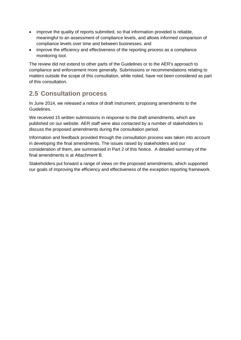- improve the quality of reports submitted, so that information provided is reliable, meaningful to an assessment of compliance levels, and allows informed comparison of compliance levels over time and between businesses; and
- improve the efficiency and effectiveness of the reporting process as a compliance monitoring tool.

The review did not extend to other parts of the Guidelines or to the AER's approach to compliance and enforcement more generally. Submissions or recommendations relating to matters outside the scope of this consultation, while noted, have not been considered as part of this consultation.

# <span id="page-7-0"></span>**2.5 Consultation process**

In June 2014, we released a notice of draft instrument, proposing amendments to the Guidelines.

We received 15 written submissions in response to the draft amendments, which are published on our website. AER staff were also contacted by a number of stakeholders to discuss the proposed amendments during the consultation period.

Information and feedback provided through the consultation process was taken into account in developing the final amendments. The issues raised by stakeholders and our consideration of them, are summarised in Part 2 of this Notice. A detailed summary of the final amendments is at Attachment B.

Stakeholders put forward a range of views on the proposed amendments, which supported our goals of improving the efficiency and effectiveness of the exception reporting framework.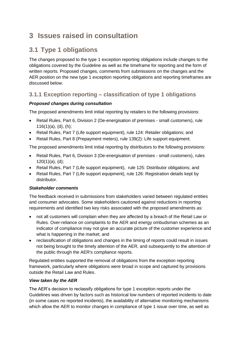# <span id="page-8-0"></span>**3 Issues raised in consultation**

# <span id="page-8-1"></span>**3.1 Type 1 obligations**

The changes proposed to the type 1 exception reporting obligations include changes to the obligations covered by the Guideline as well as the timeframe for reporting and the form of written reports. Proposed changes, comments from submissions on the changes and the AER position on the new type 1 exception reporting obligations and reporting timeframes are discussed below.

### **3.1.1 Exception reporting – classification of type 1 obligations**

#### *Proposed changes during consultation*

The proposed amendments limit initial reporting by retailers to the following provisions:

- Retail Rules, Part 6, Division 2 (De-energisation of premises small customers), rule  $116(1)(a)$ , (d), (h);
- Retail Rules, Part 7 (Life support equipment), rule 124: Retailer obligations; and
- Retail Rules, Part 8 (Prepayment meters), rule 139(2): Life support equipment.

The proposed amendments limit initial reporting by distributors to the following provisions:

- Retail Rules, Part 6, Division 3 (De-energisation of premises small customers), rules  $120(1)(a)$ , (d);
- Retail Rules, Part 7 (Life support equipment), rule 125: Distributor obligations; and
- Retail Rules, Part 7 (Life support equipment), rule 126: Registration details kept by distributor.

#### *Stakeholder comments*

The feedback received in submissions from stakeholders varied between regulated entities and consumer advocates. Some stakeholders cautioned against reductions in reporting requirements and identified two key risks associated with the proposed amendments as:

- not all customers will complain when they are affected by a breach of the Retail Law or Rules. Over-reliance on complaints to the AER and energy ombudsman schemes as an indicator of compliance may not give an accurate picture of the customer experience and what is happening in the market; and
- reclassification of obligations and changes in the timing of reports could result in issues not being brought to the timely attention of the AER, and subsequently to the attention of the public through the AER's compliance reports.

Regulated entities supported the removal of obligations from the exception reporting framework, particularly where obligations were broad in scope and captured by provisions outside the Retail Law and Rules.

#### *View taken by the AER*

The AER's decision to reclassify obligations for type 1 exception reports under the Guidelines was driven by factors such as historical low numbers of reported incidents to date (in some cases no reported incidents), the availability of alternative monitoring mechanisms which allow the AER to monitor changes in compliance of type 1 issue over time, as well as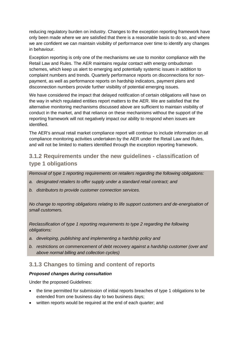reducing regulatory burden on industry. Changes to the exception reporting framework have only been made where we are satisfied that there is a reasonable basis to do so, and where we are confident we can maintain visibility of performance over time to identify any changes in behaviour.

Exception reporting is only one of the mechanisms we use to monitor compliance with the Retail Law and Rules. The AER maintains regular contact with energy ombudsman schemes, which keep us alert to emerging and potentially systemic issues in addition to complaint numbers and trends. Quarterly performance reports on disconnections for nonpayment, as well as performance reports on hardship indicators, payment plans and disconnection numbers provide further visibility of potential emerging issues.

We have considered the impact that delayed notification of certain obligations will have on the way in which regulated entities report matters to the AER. We are satisfied that the alternative monitoring mechanisms discussed above are sufficient to maintain visibility of conduct in the market, and that reliance on these mechanisms without the support of the reporting framework will not negatively impact our ability to respond when issues are identified.

The AER's annual retail market compliance report will continue to include information on all compliance monitoring activities undertaken by the AER under the Retail Law and Rules, and will not be limited to matters identified through the exception reporting framework.

### **3.1.2 Requirements under the new guidelines - classification of type 1 obligations**

*Removal of type 1 reporting requirements on retailers regarding the following obligations:*

- *a. designated retailers to offer supply under a standard retail contract; and*
- *b. distributors to provide customer connection services.*

*No change to reporting obligations relating to life support customers and de-energisation of small customers.*

*Reclassification of type 1 reporting requirements to type 2 regarding the following obligations:* 

- *a. developing, publishing and implementing a hardship policy and*
- *b. restrictions on commencement of debt recovery against a hardship customer (over and above normal billing and collection cycles)*

#### **3.1.3 Changes to timing and content of reports**

#### *Proposed changes during consultation*

Under the proposed Guidelines:

- the time permitted for submission of initial reports breaches of type 1 obligations to be extended from one business day to two business days;
- written reports would be required at the end of each quarter; and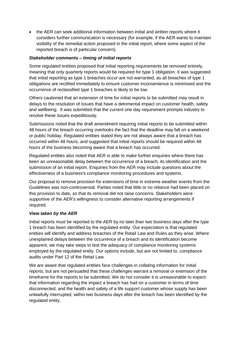the AER can seek additional information between initial and written reports where it considers further communication is necessary (for example, if the AER wants to maintain visibility of the remedial action proposed in the initial report, where some aspect of the reported breach is of particular concern).

#### *Stakeholder comments – timing of initial reports*

Some regulated entities proposed that initial reporting requirements be removed entirely, meaning that only quarterly reports would be required for type 1 obligation. It was suggested that initial reporting as type 1 breaches occur are not warranted, as all breaches of type 1 obligations are rectified immediately to ensure customer inconvenience is minimised and the occurrence of reclassified type 1 breaches is likely to be low.

Others cautioned that an extension of time for initial reports to be submitted may result in delays to the resolution of issues that have a detrimental impact on customer health, safety and wellbeing. It was submitted that the current one day requirement prompts industry to resolve these issues expeditiously.

Submissions noted that the draft amendment requiring initial reports to be submitted within 48 hours of the breach occurring overlooks the fact that the deadline may fall on a weekend or public holiday. Regulated entities stated they are not always aware that a breach has occurred within 48 hours, and suggested that initial reports should be required within 48 hours of the business becoming aware that a breach has occurred.

Regulated entities also noted that AER is able to make further enquiries where there has been an unreasonable delay between the occurrence of a breach, its identification and the submission of an initial report. Enquiries from the AER may include questions about the effectiveness of a business's compliance monitoring procedures and systems.

Our proposal to remove provision for extensions of time in extreme weather events from the Guidelines was non-controversial. Parties noted that little or no reliance had been placed on this provision to date, so that its removal did not raise concerns. Stakeholders were supportive of the AER's willingness to consider alternative reporting arrangements if required.

#### *View taken by the AER*

Initial reports must be reported to the AER by no later than two business days after the type 1 breach has been identified by the regulated entity. Our expectation is that regulated entities will identify and address breaches of the Retail Law and Rules as they arise. Where unexplained delays between the occurrence of a breach and its identification become apparent, we may take steps to test the adequacy of compliance monitoring systems employed by the regulated entity. Our options include, but are not limited to, compliance audits under Part 12 of the Retail Law.

We are aware that regulated entities face challenges in collating information for initial reports, but are not persuaded that these challenges warrant a removal or extension of the timeframe for the reports to be submitted. We do not consider it is unreasonable to expect that information regarding the impact a breach has had on a customer in terms of time disconnected, and the health and safety of a life support customer whose supply has been unlawfully interrupted, within two business days after the breach has been identified by the regulated entity.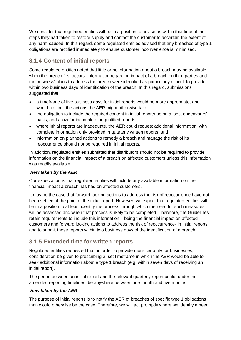We consider that regulated entities will be in a position to advise us within that time of the steps they had taken to restore supply and contact the customer to ascertain the extent of any harm caused. In this regard, some regulated entities advised that any breaches of type 1 obligations are rectified immediately to ensure customer inconvenience is minimised.

## **3.1.4 Content of initial reports**

Some regulated entities noted that little or no information about a breach may be available when the breach first occurs. Information regarding impact of a breach on third parties and the business' plans to address the breach were identified as particularly difficult to provide within two business days of identification of the breach. In this regard, submissions suggested that:

- a timeframe of five business days for initial reports would be more appropriate, and would not limit the actions the AER might otherwise take;
- the obligation to include the required content in initial reports be on a 'best endeavours' basis, and allow for incomplete or qualified reports;
- where initial reports are inadequate, the AER could request additional information, with complete information only provided in quarterly written reports; and
- information on planned actions to remedy a breach and manage the risk of its reoccurrence should not be required in initial reports.

In addition, regulated entities submitted that distributors should not be required to provide information on the financial impact of a breach on affected customers unless this information was readily available.

#### *View taken by the AER*

Our expectation is that regulated entities will include any available information on the financial impact a breach has had on affected customers.

It may be the case that forward looking actions to address the risk of reoccurrence have not been settled at the point of the initial report. However, we expect that regulated entities will be in a position to at least identify the process through which the need for such measures will be assessed and when that process is likely to be completed. Therefore, the Guidelines retain requirements to include this information – being the financial impact on affected customers and forward looking actions to address the risk of reoccurrence- in initial reports and to submit those reports within two business days of the identification of a breach.

### **3.1.5 Extended time for written reports**

Regulated entities requested that, in order to provide more certainty for businesses, consideration be given to prescribing a set timeframe in which the AER would be able to seek additional information about a type 1 breach (e.g. within seven days of receiving an initial report).

The period between an initial report and the relevant quarterly report could, under the amended reporting timelines, be anywhere between one month and five months.

#### *View taken by the AER*

The purpose of initial reports is to notify the AER of breaches of specific type 1 obligations than would otherwise be the case. Therefore, we will act promptly where we identify a need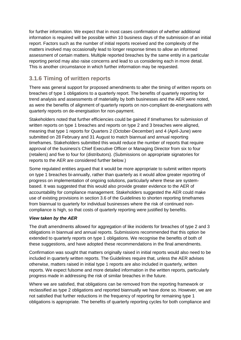for further information. We expect that in most cases confirmation of whether additional information is required will be possible within 10 business days of the submission of an initial report. Factors such as the number of initial reports received and the complexity of the matters involved may occasionally lead to longer response times to allow an informed assessment of certain matters. Multiple reported breaches by the same entity in a particular reporting period may also raise concerns and lead to us considering each in more detail. This is another circumstance in which further information may be requested.

### **3.1.6 Timing of written reports**

There was general support for proposed amendments to alter the timing of written reports on breaches of type 1 obligations to a quarterly report. The benefits of quarterly reporting for trend analysis and assessments of materiality by both businesses and the AER were noted, as were the benefits of alignment of quarterly reports on non-compliant de-energisations with quarterly reports on de-energisation for non-payment.

Stakeholders noted that further efficiencies could be gained if timeframes for submission of written reports on type 1 breaches and reports on type 2 and 3 breaches were aligned, meaning that type 1 reports for Quarters 2 (October-December) and 4 (April-June) were submitted on 28 February and 31 August to match biannual and annual reporting timeframes. Stakeholders submitted this would reduce the number of reports that require approval of the business's Chief Executive Officer or Managing Director from six to four (retailers) and five to four for (distributors). (Submissions on appropriate signatories for reports to the AER are considered further below.)

Some regulated entities argued that it would be more appropriate to submit written reports on type 1 breaches bi-annually, rather than quarterly as it would allow greater reporting of progress on implementation of ongoing solutions, particularly where these are systembased. It was suggested that this would also provide greater evidence to the AER of accountability for compliance management. Stakeholders suggested the AER could make use of existing provisions in section 3.6 of the Guidelines to shorten reporting timeframes from biannual to quarterly for individual businesses where the risk of continued noncompliance is high, so that costs of quarterly reporting were justified by benefits.

#### *View taken by the AER*

The draft amendments allowed for aggregation of like incidents for breaches of type 2 and 3 obligations in biannual and annual reports. Submissions recommended that this option be extended to quarterly reports on type 1 obligations. We recognise the benefits of both of these suggestions, and have adopted these recommendations in the final amendments.

Confirmation was sought that matters originally raised in initial reports would also need to be included in quarterly written reports. The Guidelines require that, unless the AER advises otherwise, matters raised in initial type 1 reports are also included in quarterly, written reports. We expect fulsome and more detailed information in the written reports, particularly progress made in addressing the risk of similar breaches in the future.

Where we are satisfied, that obligations can be removed from the reporting framework or reclassified as type 2 obligations and reported biannually we have done so. However, we are not satisfied that further reductions in the frequency of reporting for remaining type 1 obligations is appropriate. The benefits of quarterly reporting cycles for both compliance and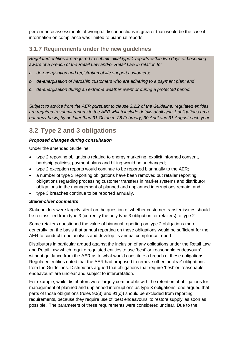performance assessments of wrongful disconnections is greater than would be the case if information on compliance was limited to biannual reports.

#### **3.1.7 Requirements under the new guidelines**

*Regulated entities are required to submit initial type 1 reports within two days of becoming aware of a breach of the Retail Law and/or Retail Law in relation to:*

- *a. de-energisation and registration of life support customers;*
- *b. de-energisation of hardship customers who are adhering to a payment plan; and*
- *c. de-energisation during an extreme weather event or during a protected period.*

*Subject to advice from the AER pursuant to clause 3.2.2 of the Guideline, regulated entities are required to submit reports to the AER which include details of all type 1 obligations on a quarterly basis, by no later than 31 October, 28 February, 30 April and 31 August each year.* 

# <span id="page-13-0"></span>**3.2 Type 2 and 3 obligations**

#### *Proposed changes during consultation*

Under the amended Guideline:

- type 2 reporting obligations relating to energy marketing, explicit informed consent, hardship policies, payment plans and billing would be unchanged;
- type 2 exception reports would continue to be reported biannually to the AER;
- a number of type 3 reporting obligations have been removed but retailer reporting obligations regarding processing customer transfers in market systems and distributor obligations in the management of planned and unplanned interruptions remain; and
- type 3 breaches continue to be reported annually.

#### *Stakeholder comments*

Stakeholders were largely silent on the question of whether customer transfer issues should be reclassified from type 3 (currently the only type 3 obligation for retailers) to type 2.

Some retailers questioned the value of biannual reporting on type 2 obligations more generally, on the basis that annual reporting on these obligations would be sufficient for the AER to conduct trend analysis and develop its annual compliance report.

Distributors in particular argued against the inclusion of any obligations under the Retail Law and Retail Law which require regulated entities to use 'best' or 'reasonable endeavours' without guidance from the AER as to what would constitute a breach of these obligations. Regulated entities noted that the AER had proposed to remove other 'unclear' obligations from the Guidelines. Distributors argued that obligations that require 'best' or 'reasonable endeavours' are unclear and subject to interpretation.

For example, while distributors were largely comfortable with the retention of obligations for management of planned and unplanned interruptions as type 3 obligations, one argued that parts of those obligations (rules 90(3) and 91(c)) should be excluded from reporting requirements, because they require use of 'best endeavours' to restore supply 'as soon as possible'. The parameters of these requirements were considered unclear. Due to the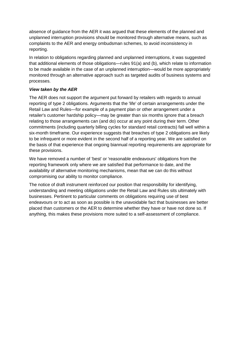absence of guidance from the AER it was argued that these elements of the planned and unplanned interruption provisions should be monitored through alternative means, such as complaints to the AER and energy ombudsman schemes, to avoid inconsistency in reporting.

In relation to obligations regarding planned and unplanned interruptions, it was suggested that additional elements of those obligations—rules 91(a) and (b), which relate to information to be made available in the case of an unplanned interruption—would be more appropriately monitored through an alternative approach such as targeted audits of business systems and processes.

#### *View taken by the AER*

The AER does not support the argument put forward by retailers with regards to annual reporting of type 2 obligations. Arguments that the 'life' of certain arrangements under the Retail Law and Rules—for example of a payment plan or other arrangement under a retailer's customer hardship policy—may be greater than six months ignore that a breach relating to those arrangements can (and do) occur at any point during their term. Other commitments (including quarterly billing cycles for standard retail contracts) fall well within a six-month timeframe. Our experience suggests that breaches of type 2 obligations are likely to be infrequent or more evident in the second half of a reporting year. We are satisfied on the basis of that experience that ongoing biannual reporting requirements are appropriate for these provisions.

We have removed a number of 'best' or 'reasonable endeavours' obligations from the reporting framework only where we are satisfied that performance to date, and the availability of alternative monitoring mechanisms, mean that we can do this without compromising our ability to monitor compliance.

The notice of draft instrument reinforced our position that responsibility for identifying, understanding and meeting obligations under the Retail Law and Rules sits ultimately with businesses. Pertinent to particular comments on obligations requiring use of best endeavours or to act as soon as possible is the unavoidable fact that businesses are better placed than customers or the AER to determine whether they have or have not done so. If anything, this makes these provisions more suited to a self-assessment of compliance.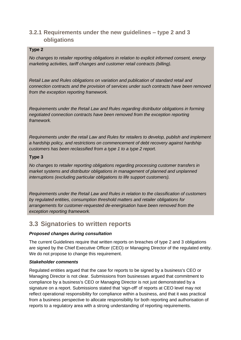### **3.2.1 Requirements under the new guidelines – type 2 and 3 obligations**

#### **Type 2**

*No changes to retailer reporting obligations in relation to explicit informed consent, energy marketing activities, tariff changes and customer retail contracts (billing).*

*Retail Law and Rules obligations on variation and publication of standard retail and connection contracts and the provision of services under such contracts have been removed from the exception reporting framework.* 

*Requirements under the Retail Law and Rules regarding distributor obligations in forming negotiated connection contracts have been removed from the exception reporting framework.* 

*Requirements under the retail Law and Rules for retailers to develop, publish and implement a hardship policy, and restrictions on commencement of debt recovery against hardship customers has been reclassified from a type 1 to a type 2 report.*

#### **Type 3**

*No changes to retailer reporting obligations regarding processing customer transfers in market systems and distributor obligations in management of planned and unplanned interruptions (excluding particular obligations to life support customers).*

*Requirements under the Retail Law and Rules in relation to the classification of customers by regulated entities, consumption threshold matters and retailer obligations for arrangements for customer-requested de-energisation have been removed from the exception reporting framework.*

# <span id="page-15-0"></span>**3.3 Signatories to written reports**

#### *Proposed changes during consultation*

The current Guidelines require that written reports on breaches of type 2 and 3 obligations are signed by the Chief Executive Officer (CEO) or Managing Director of the regulated entity. We do not propose to change this requirement.

#### *Stakeholder comments*

Regulated entities argued that the case for reports to be signed by a business's CEO or Managing Director is not clear. Submissions from businesses argued that commitment to compliance by a business's CEO or Managing Director is not just demonstrated by a signature on a report. Submissions stated that 'sign-off' of reports at CEO level may not reflect operational responsibility for compliance within a business, and that it was practical from a business perspective to allocate responsibility for both reporting and authorisation of reports to a regulatory area with a strong understanding of reporting requirements.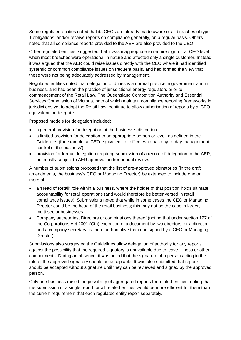Some regulated entities noted that its CEOs are already made aware of all breaches of type 1 obligations, and/or receive reports on compliance generally, on a regular basis. Others noted that all compliance reports provided to the AER are also provided to the CEO.

Other regulated entities, suggested that it was inappropriate to require sign-off at CEO level when most breaches were operational in nature and affected only a single customer. Instead it was argued that the AER could raise issues directly with the CEO where it had identified systemic or common compliance issues on frequent basis, and had formed the view that these were not being adequately addressed by management.

Regulated entities noted that delegation of duties is a normal practice in government and in business, and had been the practice of jurisdictional energy regulators prior to commencement of the Retail Law. The Queensland Competition Authority and Essential Services Commission of Victoria, both of which maintain compliance reporting frameworks in jurisdictions yet to adopt the Retail Law, continue to allow authorisation of reports by a 'CEO equivalent' or delegate.

Proposed models for delegation included:

- a general provision for delegation at the business's discretion
- a limited provision for delegation to an appropriate person or level, as defined in the Guidelines (for example, a 'CEO equivalent' or 'officer who has day-to-day management control of the business')
- provision for formal delegation requiring submission of a record of delegation to the AER, potentially subject to AER approval and/or annual review.

A number of submissions proposed that the list of pre-approved signatories (in the draft amendments, the business's CEO or Managing Director) be extended to include one or more of:

- a 'Head of Retail' role within a business, where the holder of that position holds ultimate accountability for retail operations (and would therefore be better versed in retail compliance issues). Submissions noted that while in some cases the CEO or Managing Director could be the head of the retail business; this may not be the case in larger, multi-sector businesses.
- Company secretaries, Directors or combinations thereof (noting that under section 127 of the Corporations Act 2001 (Cth) execution of a document by two directors, or a director and a company secretary, is more authoritative than one signed by a CEO or Managing Director).

Submissions also suggested the Guidelines allow delegation of authority for any reports against the possibility that the required signatory is unavailable due to leave, illness or other commitments. During an absence, it was noted that the signature of a person acting in the role of the approved signatory should be acceptable. It was also submitted that reports should be accepted without signature until they can be reviewed and signed by the approved person.

Only one business raised the possibility of aggregated reports for related entities, noting that the submission of a single report for all related entities would be more efficient for them than the current requirement that each regulated entity report separately.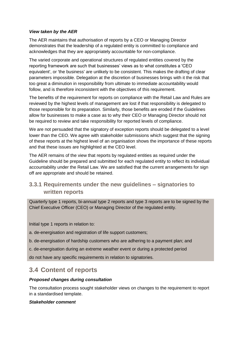#### *View taken by the AER*

The AER maintains that authorisation of reports by a CEO or Managing Director demonstrates that the leadership of a regulated entity is committed to compliance and acknowledges that they are appropriately accountable for non-compliance.

The varied corporate and operational structures of regulated entities covered by the reporting framework are such that businesses' views as to what constitutes a 'CEO equivalent', or 'the business' are unlikely to be consistent. This makes the drafting of clear parameters impossible. Delegation at the discretion of businesses brings with it the risk that too great a diminution in responsibility from ultimate to immediate accountability would follow, and is therefore inconsistent with the objectives of this requirement.

The benefits of the requirement for reports on compliance with the Retail Law and Rules are reviewed by the highest levels of management are lost if that responsibility is delegated to those responsible for its preparation. Similarly, those benefits are eroded if the Guidelines allow for businesses to make a case as to why their CEO or Managing Director should not be required to review and take responsibility for reported levels of compliance.

We are not persuaded that the signatory of exception reports should be delegated to a level lower than the CEO. We agree with stakeholder submissions which suggest that the signing of these reports at the highest level of an organisation shows the importance of these reports and that these issues are highlighted at the CEO level.

The AER remains of the view that reports by regulated entities as required under the Guideline should be prepared and submitted for each regulated entity to reflect its individual accountability under the Retail Law. We are satisfied that the current arrangements for sign off are appropriate and should be retained.

### **3.3.1 Requirements under the new guidelines – signatories to written reports**

Quarterly type 1 reports, bi-annual type 2 reports and type 3 reports are to be signed by the Chief Executive Officer (CEO) or Managing Director of the regulated entity.

Initial type 1 reports in relation to:

a. de-energisation and registration of life support customers;

b. de-energisation of hardship customers who are adhering to a payment plan; and

c. de-energisation during an extreme weather event or during a protected period

do not have any specific requirements in relation to signatories.

# <span id="page-17-0"></span>**3.4 Content of reports**

#### *Proposed changes during consultation*

The consultation process sought stakeholder views on changes to the requirement to report in a standardised template.

#### *Stakeholder comment*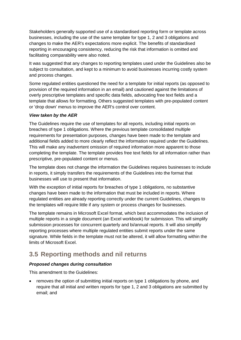Stakeholders generally supported use of a standardised reporting form or template across businesses, including the use of the same template for type 1, 2 and 3 obligations and changes to make the AER's expectations more explicit. The benefits of standardised reporting in encouraging consistency, reducing the risk that information is omitted and facilitating comparability were also noted.

It was suggested that any changes to reporting templates used under the Guidelines also be subject to consultation, and kept to a minimum to avoid businesses incurring costly system and process changes.

Some regulated entities questioned the need for a template for initial reports (as opposed to provision of the required information in an email) and cautioned against the limitations of overly prescriptive templates and specific data fields, advocating free text fields and a template that allows for formatting. Others suggested templates with pre-populated content or 'drop down' menus to improve the AER's control over content.

#### *View taken by the AER*

The Guidelines require the use of templates for all reports, including initial reports on breaches of type 1 obligations. Where the previous template consolidated multiple requirements for presentation purposes, changes have been made to the template and additional fields added to more clearly reflect the information required under the Guidelines. This will make any inadvertent omission of required information more apparent to those completing the template. The template provides free text fields for all information rather than prescriptive, pre-populated content or menus.

The template does not change the information the Guidelines requires businesses to include in reports, it simply transfers the requirements of the Guidelines into the format that businesses will use to present that information.

With the exception of initial reports for breaches of type 1 obligations, no substantive changes have been made to the information that must be included in reports. Where regulated entities are already reporting correctly under the current Guidelines, changes to the templates will require little if any system or process changes for businesses.

The template remains in Microsoft Excel format, which best accommodates the inclusion of multiple reports in a single document (an Excel workbook) for submission. This will simplify submission processes for concurrent quarterly and bi/annual reports. It will also simplify reporting processes where multiple regulated entities submit reports under the same signature. While fields in the template must not be altered, it will allow formatting within the limits of Microsoft Excel.

# <span id="page-18-0"></span>**3.5 Reporting methods and nil returns**

#### *Proposed changes during consultation*

This amendment to the Guidelines:

 removes the option of submitting initial reports on type 1 obligations by phone, and require that all initial and written reports for type 1, 2 and 3 obligations are submitted by email; and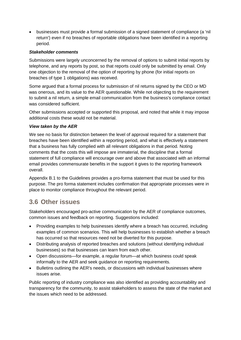businesses must provide a formal submission of a signed statement of compliance (a 'nil return') even if no breaches of reportable obligations have been identified in a reporting period.

#### *Stakeholder comments*

Submissions were largely unconcerned by the removal of options to submit initial reports by telephone, and any reports by post, so that reports could only be submitted by email. Only one objection to the removal of the option of reporting by phone (for initial reports on breaches of type 1 obligations) was received.

Some argued that a formal process for submission of nil returns signed by the CEO or MD was onerous, and its value to the AER questionable. While not objecting to the requirement to submit a nil return, a simple email communication from the business's compliance contact was considered sufficient.

Other submissions accepted or supported this proposal, and noted that while it may impose additional costs these would not be material.

#### *View taken by the AER*

We see no basis for distinction between the level of approval required for a statement that breaches have been identified within a reporting period, and what is effectively a statement that a business has fully complied with all relevant obligations in that period. Noting comments that the costs this will impose are immaterial, the discipline that a formal statement of full compliance will encourage over and above that associated with an informal email provides commensurate benefits in the support it gives to the reporting framework overall.

Appendix B.1 to the Guidelines provides a pro-forma statement that must be used for this purpose. The pro forma statement includes confirmation that appropriate processes were in place to monitor compliance throughout the relevant period.

# <span id="page-19-0"></span>**3.6 Other issues**

Stakeholders encouraged pro-active communication by the AER of compliance outcomes, common issues and feedback on reporting. Suggestions included:

- Providing examples to help businesses identify where a breach has occurred, including examples of common scenarios. This will help businesses to establish whether a breach has occurred so that resources need not be diverted for this purpose.
- Distributing analysis of reported breaches and solutions (without identifying individual businesses) so that businesses can learn from each other.
- Open discussions—for example, a regular forum—at which business could speak informally to the AER and seek guidance on reporting requirements.
- Bulletins outlining the AER's needs, or discussions with individual businesses where issues arise.

Public reporting of industry compliance was also identified as providing accountability and transparency for the community, to assist stakeholders to assess the state of the market and the issues which need to be addressed.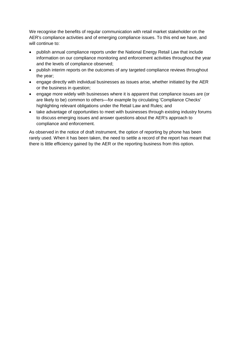We recognise the benefits of regular communication with retail market stakeholder on the AER's compliance activities and of emerging compliance issues. To this end we have, and will continue to:

- publish annual compliance reports under the National Energy Retail Law that include information on our compliance monitoring and enforcement activities throughout the year and the levels of compliance observed;
- publish interim reports on the outcomes of any targeted compliance reviews throughout the year;
- engage directly with individual businesses as issues arise, whether initiated by the AER or the business in question;
- engage more widely with businesses where it is apparent that compliance issues are (or are likely to be) common to others—for example by circulating 'Compliance Checks' highlighting relevant obligations under the Retail Law and Rules; and
- take advantage of opportunities to meet with businesses through existing industry forums to discuss emerging issues and answer questions about the AER's approach to compliance and enforcement.

As observed in the notice of draft instrument, the option of reporting by phone has been rarely used. When it has been taken, the need to settle a record of the report has meant that there is little efficiency gained by the AER or the reporting business from this option.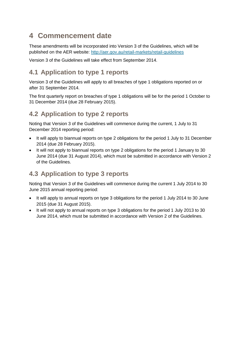# <span id="page-21-0"></span>**4 Commencement date**

These amendments will be incorporated into Version 3 of the Guidelines, which will be published on the AER website:<http://aer.gov.au/retail-markets/retail-guidelines>

Version 3 of the Guidelines will take effect from September 2014.

# <span id="page-21-1"></span>**4.1 Application to type 1 reports**

Version 3 of the Guidelines will apply to all breaches of type 1 obligations reported on or after 31 September 2014.

The first quarterly report on breaches of type 1 obligations will be for the period 1 October to 31 December 2014 (due 28 February 2015).

# <span id="page-21-2"></span>**4.2 Application to type 2 reports**

Noting that Version 3 of the Guidelines will commence during the current, 1 July to 31 December 2014 reporting period:

- It will apply to biannual reports on type 2 obligations for the period 1 July to 31 December 2014 (due 28 February 2015).
- It will not apply to biannual reports on type 2 obligations for the period 1 January to 30 June 2014 (due 31 August 2014), which must be submitted in accordance with Version 2 of the Guidelines.

# <span id="page-21-3"></span>**4.3 Application to type 3 reports**

Noting that Version 3 of the Guidelines will commence during the current 1 July 2014 to 30 June 2015 annual reporting period:

- It will apply to annual reports on type 3 obligations for the period 1 July 2014 to 30 June 2015 (due 31 August 2015).
- It will not apply to annual reports on type 3 obligations for the period 1 July 2013 to 30 June 2014, which must be submitted in accordance with Version 2 of the Guidelines.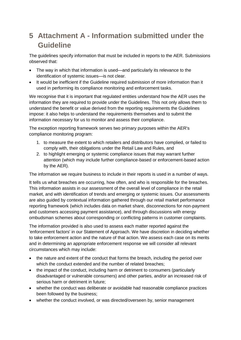# <span id="page-22-0"></span>**5 Attachment A - Information submitted under the Guideline**

The guidelines specify information that must be included in reports to the AER. Submissions observed that:

- The way in which that information is used—and particularly its relevance to the identification of systemic issues—is not clear.
- It would be inefficient if the Guideline required submission of more information than it used in performing its compliance monitoring and enforcement tasks.

We recognise that it is important that regulated entities understand how the AER uses the information they are required to provide under the Guidelines. This not only allows them to understand the benefit or value derived from the reporting requirements the Guidelines impose: it also helps to understand the requirements themselves and to submit the information necessary for us to monitor and assess their compliance.

The exception reporting framework serves two primary purposes within the AER's compliance monitoring program:

- 1. to measure the extent to which retailers and distributors have complied, or failed to comply with, their obligations under the Retail Law and Rules, and
- 2. to highlight emerging or systemic compliance issues that may warrant further attention (which may include further compliance-based or enforcement-based action by the AER).

The information we require business to include in their reports is used in a number of ways.

It tells us what breaches are occurring, how often, and who is responsible for the breaches. This information assists in our assessment of the overall level of compliance in the retail market, and with identification of trends and emerging or systemic issues. Our assessments are also guided by contextual information gathered through our retail market performance reporting framework (which includes data on market share, disconnections for non-payment and customers accessing payment assistance), and through discussions with energy ombudsman schemes about corresponding or conflicting patterns in customer complaints.

The information provided is also used to assess each matter reported against the 'enforcement factors' in our Statement of Approach. We have discretion in deciding whether to take enforcement action and the nature of that action. We assess each case on its merits and in determining an appropriate enforcement response we will consider all relevant circumstances which may include:

- the nature and extent of the conduct that forms the breach, including the period over which the conduct extended and the number of related breaches;
- the impact of the conduct, including harm or detriment to consumers (particularly disadvantaged or vulnerable consumers) and other parties, and/or an increased risk of serious harm or detriment in future;
- whether the conduct was deliberate or avoidable had reasonable compliance practices been followed by the business;
- whether the conduct involved, or was directed/overseen by, senior management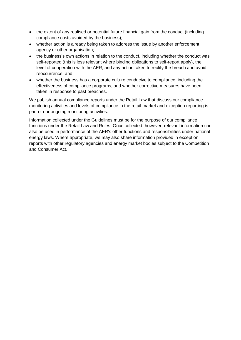- the extent of any realised or potential future financial gain from the conduct (including compliance costs avoided by the business);
- whether action is already being taken to address the issue by another enforcement agency or other organisation;
- the business's own actions in relation to the conduct, including whether the conduct was self-reported (this is less relevant where binding obligations to self-report apply), the level of cooperation with the AER, and any action taken to rectify the breach and avoid reoccurrence, and
- whether the business has a corporate culture conducive to compliance, including the effectiveness of compliance programs, and whether corrective measures have been taken in response to past breaches.

We publish annual compliance reports under the Retail Law that discuss our compliance monitoring activities and levels of compliance in the retail market and exception reporting is part of our ongoing monitoring activities.

Information collected under the Guidelines must be for the purpose of our compliance functions under the Retail Law and Rules. Once collected, however, relevant information can also be used in performance of the AER's other functions and responsibilities under national energy laws. Where appropriate, we may also share information provided in exception reports with other regulatory agencies and energy market bodies subject to the Competition and Consumer Act.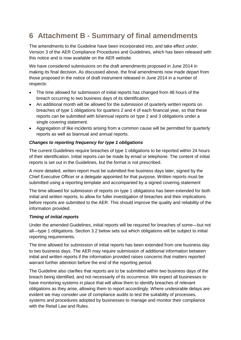# <span id="page-24-0"></span>**6 Attachment B - Summary of final amendments**

The amendments to the Guideline have been incorporated into, and take effect under, Version 3 of the AER Compliance Procedures and Guidelines, which has been released with this notice and is now available on the AER website.

We have considered submissions on the draft amendments proposed in June 2014 in making its final decision. As discussed above, the final amendments now made depart from those proposed in the notice of draft instrument released in June 2014 in a number of respects:

- The time allowed for submission of initial reports has changed from 48 hours of the breach occurring to two business days of its identification.
- An additional month will be allowed for the submission of quarterly written reports on breaches of type 1 obligations for quarters 2 and 4 of each financial year, so that these reports can be submitted with bi/annual reports on type 2 and 3 obligations under a single covering statement.
- Aggregation of like incidents arising from a common cause will be permitted for quarterly reports as well as biannual and annual reports.

#### *Changes to reporting frequency for type 1 obligations*

The current Guidelines require breaches of type 1 obligations to be reported within 24 hours of their identification. Initial reports can be made by email or telephone. The content of initial reports is set out in the Guidelines, but the format is not prescribed.

A more detailed, written report must be submitted five business days later, signed by the Chief Executive Officer or a delegate appointed for that purpose. Written reports must be submitted using a reporting template and accompanied by a signed covering statement

The time allowed for submission of reports on type 1 obligations has been extended for both initial and written reports, to allow for fuller investigation of breaches and their implications before reports are submitted to the AER. This should improve the quality and reliability of the information provided.

#### *Timing of initial reports*

Under the amended Guidelines, initial reports will be required for breaches of some—but not all—type 1 obligations. Section 3.2 below sets out which obligations will be subject to initial reporting requirements.

The time allowed for submission of initial reports has been extended from one business day to two business days. The AER may require submission of additional information between initial and written reports if the information provided raises concerns that matters reported warrant further attention before the end of the reporting period.

The Guideline also clarifies that reports are to be submitted within two business days of the breach being identified, and not necessarily of its occurrence. We expect all businesses to have monitoring systems in place that will allow them to identify breaches of relevant obligations as they arise, allowing them to report accordingly. Where undesirable delays are evident we may consider use of compliance audits to test the suitability of processes, systems and procedures adopted by businesses to manage and monitor their compliance with the Retail Law and Rules.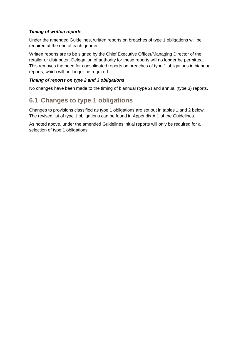#### *Timing of written reports*

Under the amended Guidelines, written reports on breaches of type 1 obligations will be required at the end of each quarter.

Written reports are to be signed by the Chief Executive Officer/Managing Director of the retailer or distributor. Delegation of authority for these reports will no longer be permitted. This removes the need for consolidated reports on breaches of type 1 obligations in biannual reports, which will no longer be required.

#### *Timing of reports on type 2 and 3 obligations*

No changes have been made to the timing of biannual (type 2) and annual (type 3) reports.

# <span id="page-25-0"></span>**6.1 Changes to type 1 obligations**

Changes to provisions classified as type 1 obligations are set out in tables 1 and 2 below. The revised list of type 1 obligations can be found in Appendix A.1 of the Guidelines.

As noted above, under the amended Guidelines initial reports will only be required for a selection of type 1 obligations.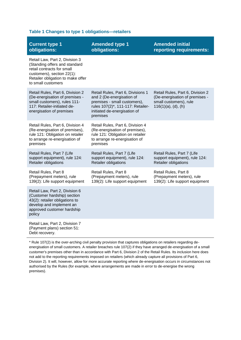#### **Table 1 Changes to type 1 obligations—retailers**

| <b>Current type 1</b><br>obligations:                                                                                                                                                  | <b>Amended type 1</b><br>obligations:                                                                                                                                           | <b>Amended initial</b><br>reporting requirements:                                                                      |
|----------------------------------------------------------------------------------------------------------------------------------------------------------------------------------------|---------------------------------------------------------------------------------------------------------------------------------------------------------------------------------|------------------------------------------------------------------------------------------------------------------------|
| Retail Law, Part 2, Division 3<br>(Standing offers and standard<br>retail contracts for small<br>customers), section 22(1):<br>Retailer obligation to make offer<br>to small customers |                                                                                                                                                                                 |                                                                                                                        |
| Retail Rules, Part 6, Division 2<br>(De-energisation of premises -<br>small customers), rules 111-<br>117: Retailer-initiated de-<br>energisation of premises                          | Retail Rules, Part 6, Divisions 1<br>and 2 (De-energisation of<br>premises - small customers),<br>rules 107(2)*, 111-117: Retailer-<br>initiated de-energisation of<br>premises | Retail Rules, Part 6, Division 2<br>(De-energisation of premises -<br>small customers), rule<br>$116(1)(a)$ , (d), (h) |
| Retail Rules, Part 6, Division 4<br>(Re-energisation of premises),<br>rule 121: Obligation on retailer<br>to arrange re-energisation of<br>premises                                    | Retail Rules, Part 6, Division 4<br>(Re-energisation of premises),<br>rule 121: Obligation on retailer<br>to arrange re-energisation of<br>premises                             |                                                                                                                        |
| Retail Rules, Part 7 (Life<br>support equipment), rule 124:<br>Retailer obligations                                                                                                    | Retail Rules, Part 7 (Life<br>support equipment), rule 124:<br>Retailer obligations                                                                                             | Retail Rules, Part 7 (Life<br>support equipment), rule 124:<br>Retailer obligations                                    |
| Retail Rules, Part 8<br>(Prepayment meters), rule<br>139(2): Life support equipment                                                                                                    | Retail Rules, Part 8<br>(Prepayment meters), rule<br>139(2): Life support equipment                                                                                             | Retail Rules, Part 8<br>(Prepayment meters), rule<br>139(2): Life support equipment                                    |
| Retail Law, Part 2, Division 6<br>(Customer hardship) section<br>43(2): retailer obligations to<br>develop and implement an<br>approved customer hardship<br>policy                    |                                                                                                                                                                                 |                                                                                                                        |
| Retail Law, Part 2, Division 7<br>(Payment plans) section 51:<br>Debt recovery.                                                                                                        |                                                                                                                                                                                 |                                                                                                                        |

\* Rule 107(2) is the over-arching civil penalty provision that captures obligations on retailers regarding deenergisation of small customers. A retailer breaches rule 107(2) if they have arranged de-energisation of a small customer's premises other than in accordance with Part 6, Division 2 of the Retail Rules. Its inclusion here does not add to the reporting requirements imposed on retailers (which already capture all provisions of Part 6, Division 2). It will, however, allow for more accurate reporting where de-energisation occurs in circumstances not authorised by the Rules (for example, where arrangements are made in error to de-energise the wrong premises).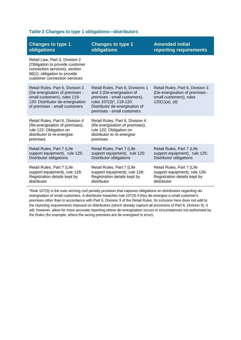#### **Table 2 Changes to type 1 obligations—distributors**

| <b>Changes to type 1</b>                                                                                                                                                | <b>Changes to type 1</b>                                                                                                                                                                  | <b>Amended initial</b>                                                                                             |
|-------------------------------------------------------------------------------------------------------------------------------------------------------------------------|-------------------------------------------------------------------------------------------------------------------------------------------------------------------------------------------|--------------------------------------------------------------------------------------------------------------------|
| obligations                                                                                                                                                             | obligations                                                                                                                                                                               | reporting requirements                                                                                             |
| Retail Law, Part 3, Division 2<br>(Obligation to provide customer<br>connection services), section<br>66(1): obligation to provide<br>customer connection services      |                                                                                                                                                                                           |                                                                                                                    |
| Retail Rules, Part 6, Division 3<br>(De-energisation of premises -<br>small customers), rules 119-<br>120: Distributor de-energisation<br>of premises - small customers | Retail Rules, Part 6, Divisions 1<br>and 3 (De-energisation of<br>premises - small customers),<br>rules 107(3)*, 119-120:<br>Distributor de-energisation of<br>premises - small customers | Retail Rules, Part 6, Division 3<br>(De-energisation of premises -<br>small customers), rules<br>$120(1)(a)$ , (d) |
| Retail Rules, Part 6, Division 4<br>(Re-energisation of premises),<br>rule 122: Obligation on<br>distributor to re-energise<br>premises                                 | Retail Rules, Part 6, Division 4<br>(Re-energisation of premises),<br>rule 122: Obligation on<br>distributor to re-energise<br>premises                                                   |                                                                                                                    |
| Retail Rules, Part 7 (Life                                                                                                                                              | Retail Rules, Part 7 (Life                                                                                                                                                                | Retail Rules, Part 7 (Life                                                                                         |
| support equipment), rule 125:                                                                                                                                           | support equipment), rule 125:                                                                                                                                                             | support equipment), rule 125:                                                                                      |
| Distributor obligations                                                                                                                                                 | Distributor obligations                                                                                                                                                                   | Distributor obligations                                                                                            |
| Retail Rules, Part 7 (Life                                                                                                                                              | Retail Rules, Part 7 (Life                                                                                                                                                                | Retail Rules, Part 7 (Life                                                                                         |
| support equipment), rule 126:                                                                                                                                           | support equipment), rule 126:                                                                                                                                                             | support equipment), rule 126:                                                                                      |
| Registration details kept by                                                                                                                                            | Registration details kept by                                                                                                                                                              | Registration details kept by                                                                                       |
| distributor                                                                                                                                                             | distributor                                                                                                                                                                               | distributor                                                                                                        |

\*Rule 107(3) is the over-arching civil penalty provision that captures obligations on distributors regarding deenergisation of small customers. A distributor breaches rule 107(3) if they de-energise a small customer's premises other than in accordance with Part 6, Division 3 of the Retail Rules. Its inclusion here does not add to the reporting requirements imposed on distributors (which already capture all provisions of Part 6, Division 3). It will, however, allow for more accurate reporting where de-energisation occurs in circumstances not authorised by the Rules (for example, where the wrong premises are de-energised in error).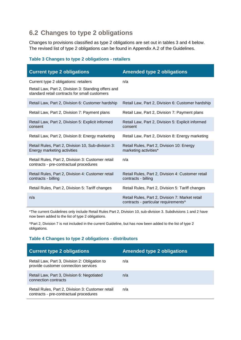# <span id="page-28-0"></span>**6.2 Changes to type 2 obligations**

Changes to provisions classified as type 2 obligations are set out in tables 3 and 4 below. The revised list of type 2 obligations can be found in Appendix A.2 of the Guidelines.

#### **Table 3 Changes to type 2 obligations - retailers**

| <b>Current type 2 obligations</b>                                                                                                             | <b>Amended type 2 obligations</b>                                                       |
|-----------------------------------------------------------------------------------------------------------------------------------------------|-----------------------------------------------------------------------------------------|
| Current type 2 obligations: retailers<br>Retail Law, Part 2, Division 3: Standing offers and<br>standard retail contracts for small customers | n/a                                                                                     |
| Retail Law, Part 2, Division 6: Customer hardship                                                                                             | Retail Law, Part 2, Division 6: Customer hardship                                       |
| Retail Law, Part 2, Division 7: Payment plans                                                                                                 | Retail Law, Part 2, Division 7: Payment plans                                           |
| Retail Law, Part 2, Division 5: Explicit informed<br>consent                                                                                  | Retail Law, Part 2, Division 5: Explicit informed<br>consent                            |
| Retail Law, Part 2, Division 8: Energy marketing                                                                                              | Retail Law, Part 2, Division 8: Energy marketing                                        |
| Retail Rules, Part 2, Division 10, Sub-division 3:<br>Energy marketing activities                                                             | Retail Rules, Part 2, Division 10: Energy<br>marketing activities*                      |
| Retail Rules, Part 2, Division 3: Customer retail<br>contracts - pre-contractual procedures                                                   | n/a                                                                                     |
| Retail Rules, Part 2, Division 4: Customer retail<br>contracts - billing                                                                      | Retail Rules, Part 2, Division 4: Customer retail<br>contracts - billing                |
| Retail Rules, Part 2, Division 5: Tariff changes                                                                                              | Retail Rules, Part 2, Division 5: Tariff changes                                        |
| n/a                                                                                                                                           | Retail Rules, Part 2, Division 7: Market retail<br>contracts - particular requirements^ |

\*The current Guidelines only include Retail Rules Part 2, Division 10, sub-division 3. Subdivisions 1 and 2 have now been added to the list of type 2 obligations.

^Part 2, Division 7 is not included in the current Guideline, but has now been added to the list of type 2 obligations.

#### **Table 4 Changes to type 2 obligations - distributors**

| <b>Current type 2 obligations</b>                                                           | <b>Amended type 2 obligations</b> |
|---------------------------------------------------------------------------------------------|-----------------------------------|
| Retail Law, Part 3, Division 2: Obligation to<br>provide customer connection services       | n/a                               |
| Retail Law, Part 3, Division 6: Negotiated<br>connection contracts                          | n/a                               |
| Retail Rules, Part 2, Division 3: Customer retail<br>contracts - pre-contractual procedures | n/a                               |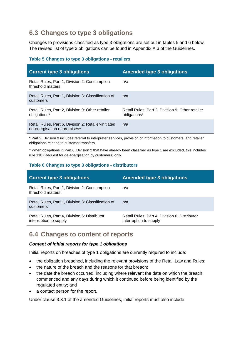# <span id="page-29-0"></span>**6.3 Changes to type 3 obligations**

Changes to provisions classified as type 3 obligations are set out in tables 5 and 6 below. The revised list of type 3 obligations can be found in Appendix A.3 of the Guidelines.

#### **Table 5 Changes to type 3 obligations - retailers**

| <b>Current type 3 obligations</b>                                                    | <b>Amended type 3 obligations</b>                                |
|--------------------------------------------------------------------------------------|------------------------------------------------------------------|
| Retail Rules, Part 1, Division 2: Consumption<br>threshold matters                   | n/a                                                              |
| Retail Rules, Part 1, Division 3: Classification of<br>customers                     | n/a                                                              |
| Retail Rules, Part 2, Division 9: Other retailer<br>obligations*                     | Retail Rules, Part 2, Division 9: Other retailer<br>obligations* |
| Retail Rules, Part 6, Division 2: Retailer-initiated<br>de-energisation of premises^ | n/a                                                              |

\* Part 2, Division 9 includes referral to interpreter services, provision of information to customers, and retailer obligations relating to customer transfers.

^ When obligations in Part 6, Division 2 that have already been classified as type 1 are excluded, this includes rule 118 (Request for de-energisation by customers) only.

#### **Table 6 Changes to type 3 obligations - distributors**

| <b>Current type 3 obligations</b>                                       | <b>Amended type 3 obligations</b>                                       |
|-------------------------------------------------------------------------|-------------------------------------------------------------------------|
| Retail Rules, Part 1, Division 2: Consumption<br>threshold matters      | n/a                                                                     |
| Retail Rules, Part 1, Division 3: Classification of<br>customers        | n/a                                                                     |
| Retail Rules, Part 4, Division 6: Distributor<br>interruption to supply | Retail Rules, Part 4, Division 6: Distributor<br>interruption to supply |

### <span id="page-29-1"></span>**6.4 Changes to content of reports**

#### *Content of initial reports for type 1 obligations*

Initial reports on breaches of type 1 obligations are currently required to include:

- the obligation breached, including the relevant provisions of the Retail Law and Rules;
- the nature of the breach and the reasons for that breach;
- the date the breach occurred, including where relevant the date on which the breach commenced and any days during which it continued before being identified by the regulated entity; and
- a contact person for the report.

Under clause 3.3.1 of the amended Guidelines, initial reports must also include: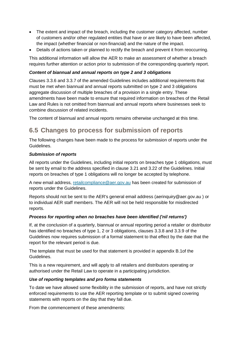- The extent and impact of the breach, including the customer category affected, number of customers and/or other regulated entities that have or are likely to have been affected, the impact (whether financial or non-financial) and the nature of the impact.
- Details of actions taken or planned to rectify the breach and prevent it from reoccurring.

This additional information will allow the AER to make an assessment of whether a breach requires further attention or action prior to submission of the corresponding quarterly report.

#### *Content of biannual and annual reports on type 2 and 3 obligations*

Clauses 3.3.6 and 3.3.7 of the amended Guidelines includes additional requirements that must be met when biannual and annual reports submitted on type 2 and 3 obligations aggregate discussion of multiple breaches of a provision in a single entry. These amendments have been made to ensure that required information on breaches of the Retail Law and Rules is not omitted from biannual and annual reports where businesses seek to combine discussion of related incidents.

The content of biannual and annual reports remains otherwise unchanged at this time.

# <span id="page-30-0"></span>**6.5 Changes to process for submission of reports**

The following changes have been made to the process for submission of reports under the Guidelines.

#### *Submission of reports*

All reports under the Guidelines, including initial reports on breaches type 1 obligations, must be sent by email to the address specified in clause 3.21 and 3.22 of the Guidelines. Initial reports on breaches of type 1 obligations will no longer be accepted by telephone.

A new email address, [retailcompliance@aer.gov.au](mailto:retailcompliance@aer.gov.au) has been created for submission of reports under the Guidelines.

Reports should not be sent to the AER's general email address (aerinquiry@aer.gov.au ) or to individual AER staff members. The AER will not be held responsible for misdirected reports.

#### *Process for reporting when no breaches have been identified ('nil returns')*

If, at the conclusion of a quarterly, biannual or annual reporting period a retailer or distributor has identified no breaches of type 1, 2 or 3 obligations, clauses 3.3.8 and 3.3.9 of the Guidelines now requires submission of a formal statement to that effect by the date that the report for the relevant period is due.

The template that must be used for that statement is provided in appendix B.1of the Guidelines.

This is a new requirement, and will apply to all retailers and distributors operating or authorised under the Retail Law to operate in a participating jurisdiction.

#### *Use of reporting templates and pro forma statements*

To date we have allowed some flexibility in the submission of reports, and have not strictly enforced requirements to use the AER reporting template or to submit signed covering statements with reports on the day that they fall due.

From the commencement of these amendments: